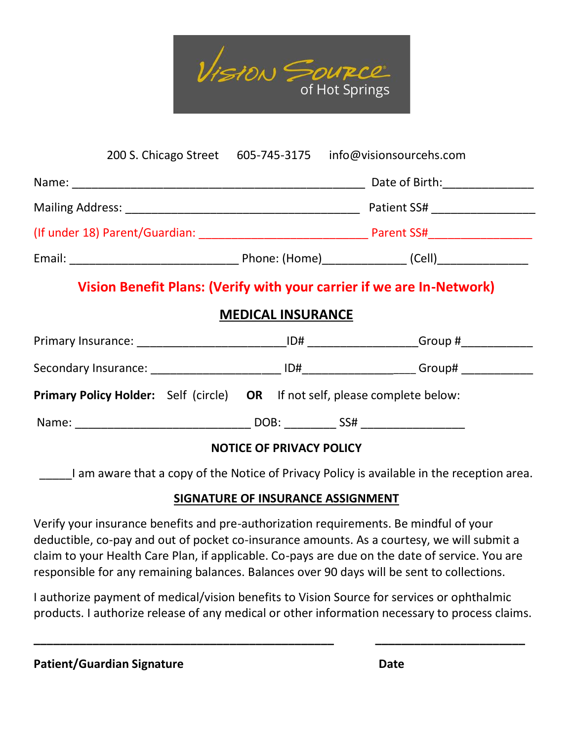

|  |                                 | 200 S. Chicago Street 605-745-3175 info@visionsourcehs.com                  |
|--|---------------------------------|-----------------------------------------------------------------------------|
|  |                                 |                                                                             |
|  |                                 |                                                                             |
|  |                                 |                                                                             |
|  |                                 |                                                                             |
|  | <b>MEDICAL INSURANCE</b>        | Vision Benefit Plans: (Verify with your carrier if we are In-Network)       |
|  |                                 |                                                                             |
|  |                                 |                                                                             |
|  |                                 | Primary Policy Holder: Self (circle) OR If not self, please complete below: |
|  |                                 |                                                                             |
|  | <b>NOTICE OF PRIVACY POLICY</b> |                                                                             |

I am aware that a copy of the Notice of Privacy Policy is available in the reception area.

## **SIGNATURE OF INSURANCE ASSIGNMENT**

Verify your insurance benefits and pre-authorization requirements. Be mindful of your deductible, co-pay and out of pocket co-insurance amounts. As a courtesy, we will submit a claim to your Health Care Plan, if applicable. Co-pays are due on the date of service. You are responsible for any remaining balances. Balances over 90 days will be sent to collections.

I authorize payment of medical/vision benefits to Vision Source for services or ophthalmic products. I authorize release of any medical or other information necessary to process claims.

**\_\_\_\_\_\_\_\_\_\_\_\_\_\_\_\_\_\_\_\_\_\_\_\_\_\_\_\_\_\_\_\_\_\_\_\_\_\_\_\_\_\_\_\_\_\_ \_\_\_\_\_\_\_\_\_\_\_\_\_\_\_\_\_\_\_\_\_\_\_**

| <b>Patient/Guardian Signature</b> | <b>Date</b> |
|-----------------------------------|-------------|
|                                   |             |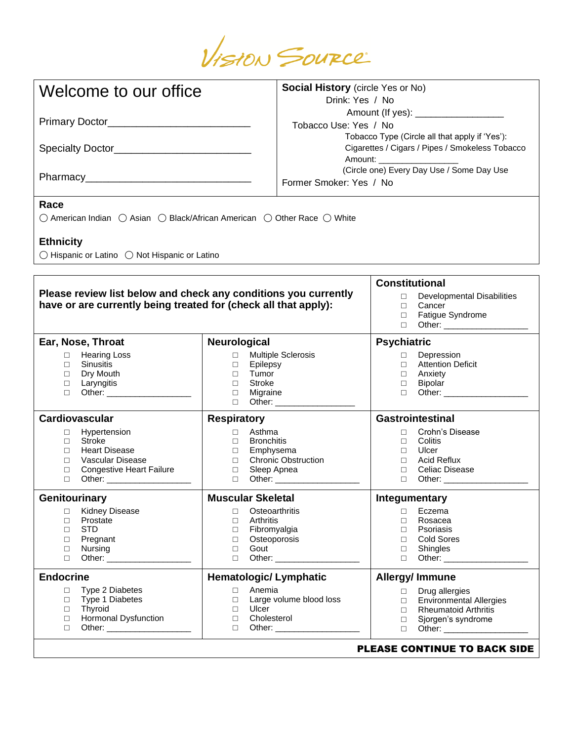

| Welcome to our office                                                                                                                                                                                | <b>Social History</b> (circle Yes or No)<br>Drink: Yes / No                                                                                                                    |                                                                 |                                                          |                                                                                                                                        |
|------------------------------------------------------------------------------------------------------------------------------------------------------------------------------------------------------|--------------------------------------------------------------------------------------------------------------------------------------------------------------------------------|-----------------------------------------------------------------|----------------------------------------------------------|----------------------------------------------------------------------------------------------------------------------------------------|
| Primary Doctor_____________________________                                                                                                                                                          |                                                                                                                                                                                | Amount (If yes): _____________________<br>Tobacco Use: Yes / No |                                                          |                                                                                                                                        |
| Specialty Doctor_______________________________                                                                                                                                                      | Tobacco Type (Circle all that apply if 'Yes'):<br>Cigarettes / Cigars / Pipes / Smokeless Tobacco<br>Amount: ____________________<br>(Circle one) Every Day Use / Some Day Use |                                                                 |                                                          |                                                                                                                                        |
|                                                                                                                                                                                                      |                                                                                                                                                                                | Former Smoker: Yes / No                                         |                                                          |                                                                                                                                        |
| Race<br>○ American Indian ○ Asian ○ Black/African American ○ Other Race ○ White<br><b>Ethnicity</b>                                                                                                  |                                                                                                                                                                                |                                                                 |                                                          |                                                                                                                                        |
| ◯ Hispanic or Latino ◯ Not Hispanic or Latino                                                                                                                                                        |                                                                                                                                                                                |                                                                 |                                                          |                                                                                                                                        |
| Please review list below and check any conditions you currently<br>have or are currently being treated for (check all that apply):                                                                   |                                                                                                                                                                                |                                                                 | <b>Constitutional</b><br>П.<br>П<br>$\Box$<br>П.         | Developmental Disabilities<br>Cancer<br>Fatigue Syndrome                                                                               |
| Ear, Nose, Throat                                                                                                                                                                                    | Neurological                                                                                                                                                                   |                                                                 | <b>Psychiatric</b>                                       |                                                                                                                                        |
| <b>Hearing Loss</b><br>$\Box$<br>Sinusitis<br>$\Box$<br>Dry Mouth<br>$\Box$<br>Laryngitis<br>$\Box$<br>$\Box$                                                                                        | <b>Multiple Sclerosis</b><br>$\Box$<br>Epilepsy<br>$\Box$<br>Tumor<br>$\Box$<br>Stroke<br>$\Box$<br>Migraine<br>$\Box$<br>$\Box$                                               |                                                                 | $\Box$<br>$\Box$<br>$\Box$<br>$\Box$<br>$\Box$           | Depression<br><b>Attention Deficit</b><br>Anxiety<br>Bipolar                                                                           |
| Cardiovascular                                                                                                                                                                                       | <b>Respiratory</b>                                                                                                                                                             |                                                                 |                                                          | <b>Gastrointestinal</b>                                                                                                                |
| Hypertension<br>$\Box$<br><b>Stroke</b><br>$\Box$<br><b>Heart Disease</b><br>П<br>Vascular Disease<br>$\Box$<br><b>Congestive Heart Failure</b><br>$\Box$<br>$\Box$<br>Other: ______________________ | Asthma<br>$\Box$<br><b>Bronchitis</b><br>$\Box$<br>Emphysema<br>$\Box$<br>$\Box$<br>Sleep Apnea<br>$\Box$                                                                      | <b>Chronic Obstruction</b><br>D Other: ___________________      | $\Box$<br>$\Box$<br>$\Box$<br>$\Box$                     | Crohn's Disease<br>Colitis<br>Ulcer<br>Acid Reflux<br>□ Celiac Disease                                                                 |
| Genitourinary                                                                                                                                                                                        | <b>Muscular Skeletal</b>                                                                                                                                                       |                                                                 | Integumentary                                            |                                                                                                                                        |
| <b>Kidney Disease</b><br>$\Box$<br>Prostate<br>$\Box$<br><b>STD</b><br>$\Box$<br>Pregnant<br>$\Box$<br>Nursing<br>$\Box$<br>Other: ______________________<br>$\Box$                                  | Osteoarthritis<br>$\Box$<br>Arthritis<br>$\Box$<br>Fibromyalgia<br>$\Box$<br>Osteoporosis<br>$\Box$<br>Gout<br>$\Box$<br>$\Box$                                                |                                                                 | $\Box$<br>$\Box$<br>$\Box$<br>$\Box$<br>$\Box$<br>$\Box$ | Eczema<br>Rosacea<br>Psoriasis<br><b>Cold Sores</b><br>Shingles                                                                        |
| <b>Endocrine</b>                                                                                                                                                                                     | <b>Hematologic/ Lymphatic</b>                                                                                                                                                  |                                                                 | <b>Allergy/Immune</b>                                    |                                                                                                                                        |
| Type 2 Diabetes<br>$\Box$<br>Type 1 Diabetes<br>$\Box$<br>$\Box$<br>Thyroid<br>Hormonal Dysfunction<br>$\Box$<br>$\Box$                                                                              | Anemia<br>$\Box$<br>$\Box$<br>Ulcer<br>$\Box$<br>Cholesterol<br>□<br>П                                                                                                         | Large volume blood loss<br>Other: ______________________        | $\Box$<br>$\Box$<br>$\Box$<br>$\Box$<br>$\Box$           | Drug allergies<br><b>Environmental Allergies</b><br><b>Rheumatoid Arthritis</b><br>Sjorgen's syndrome<br>NLEACE AANTINUE TA BAAIZ CINI |

PLEASE CONTINUE TO BACK SIDE